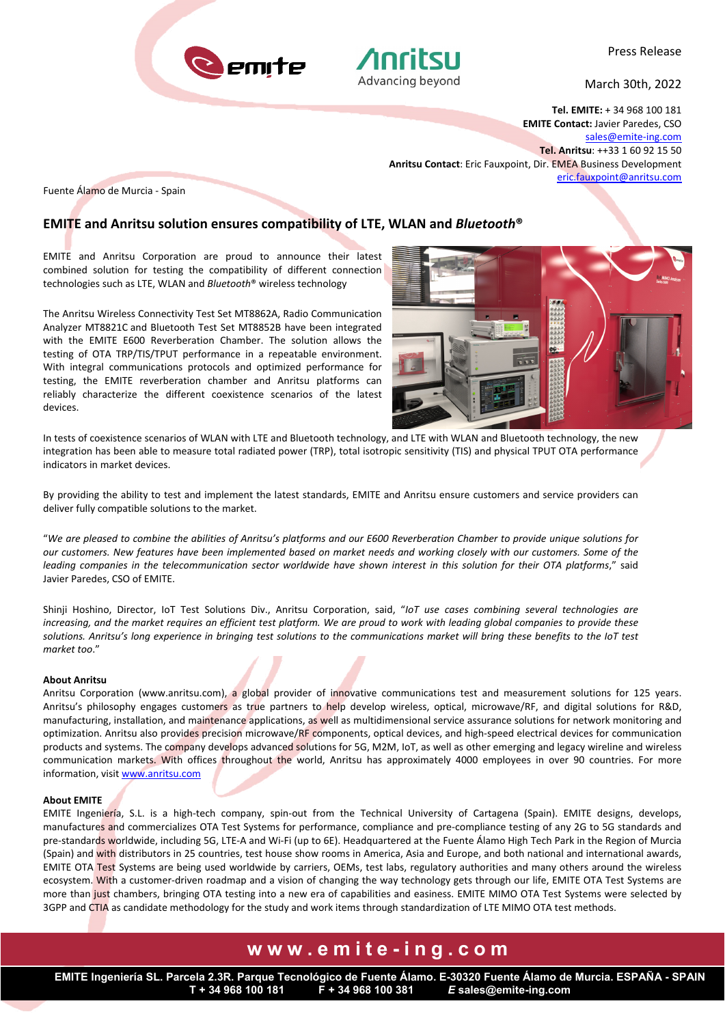



March 30th, 2022

**Tel. EMITE:** + 34 968 100 181 **EMITE Contact:** Javier Paredes, CSO sales@emite‐ing.com **Tel. Anritsu**: ++33 1 60 92 15 50 **Anritsu Contact**: Eric Fauxpoint, Dir. EMEA Business Development eric.fauxpoint@anritsu.com

Fuente Álamo de Murcia ‐ Spain

### **EMITE and Anritsu solution ensures compatibility of LTE, WLAN and** *Bluetooth***®**

EMITE and Anritsu Corporation are proud to announce their latest combined solution for testing the compatibility of different connection technologies such as LTE, WLAN and *Bluetooth*® wireless technology

The Anritsu Wireless Connectivity Test Set MT8862A, Radio Communication Analyzer MT8821C and Bluetooth Test Set MT8852B have been integrated with the EMITE E600 Reverberation Chamber. The solution allows the testing of OTA TRP/TIS/TPUT performance in a repeatable environment. With integral communications protocols and optimized performance for testing, the EMITE reverberation chamber and Anritsu platforms can reliably characterize the different coexistence scenarios of the latest devices.



In tests of coexistence scenarios of WLAN with LTE and Bluetooth technology, and LTE with WLAN and Bluetooth technology, the new integration has been able to measure total radiated power (TRP), total isotropic sensitivity (TIS) and physical TPUT OTA performance indicators in market devices.

By providing the ability to test and implement the latest standards, EMITE and Anritsu ensure customers and service providers can deliver fully compatible solutions to the market.

"*We are pleased to combine the abilities of Anritsu's platforms and our E600 Reverberation Chamber to provide unique solutions for our customers. New features have been implemented based on market needs and working closely with our customers. Some of the leading companies in the telecommunication sector worldwide have shown interest in this solution for their OTA platforms*," said Javier Paredes, CSO of EMITE.

Shinji Hoshino, Director, IoT Test Solutions Div., Anritsu Corporation, said, "*IoT use cases combining several technologies are increasing, and the market requires an efficient test platform. We are proud to work with leading global companies to provide these solutions. Anritsu's long experience in bringing test solutions to the communications market will bring these benefits to the IoT test market too*."

#### **About Anritsu**

Anritsu Corporation (www.anritsu.com), a global provider of innovative communications test and measurement solutions for 125 years. Anritsu's philosophy engages customers as true partners to help develop wireless, optical, microwave/RF, and digital solutions for R&D, manufacturing, installation, and maintenance applications, as well as multidimensional service assurance solutions for network monitoring and optimization. Anritsu also provides precision microwave/RF components, optical devices, and high-speed electrical devices for communication products and systems. The company develops advanced solutions for 5G, M2M, IoT, as well as other emerging and legacy wireline and wireless communication markets. With offices throughout the world, Anritsu has approximately 4000 employees in over 90 countries. For more information, visit www.anritsu.com

#### **About EMITE**

EMITE Ingeniería, S.L. is a high-tech company, spin-out from the Technical University of Cartagena (Spain). EMITE designs, develops, manufactures and commercializes OTA Test Systems for performance, compliance and pre-compliance testing of any 2G to 5G standards and pre-standards worldwide, including 5G, LTE-A and Wi-Fi (up to 6E). Headquartered at the Fuente Álamo High Tech Park in the Region of Murcia (Spain) and with distributors in 25 countries, test house show rooms in America, Asia and Europe, and both national and international awards, EMITE OTA Test Systems are being used worldwide by carriers, OEMs, test labs, regulatory authorities and many others around the wireless ecosystem. With a customer‐driven roadmap and a vision of changing the way technology gets through our life, EMITE OTA Test Systems are more than just chambers, bringing OTA testing into a new era of capabilities and easiness. EMITE MIMO OTA Test Systems were selected by 3GPP and CTIA as candidate methodology for the study and work items through standardization of LTE MIMO OTA test methods.

## **www.emite-ing.com**

**EMITE Ingeniería SL. Parcela 2.3R. Parque Tecnológico de Fuente Álamo. E-30320 Fuente Álamo de Murcia. ESPAÑA - SPAIN T + 34 968 100 181 F + 34 968 100 381** *E* **sales@emite-ing.com**